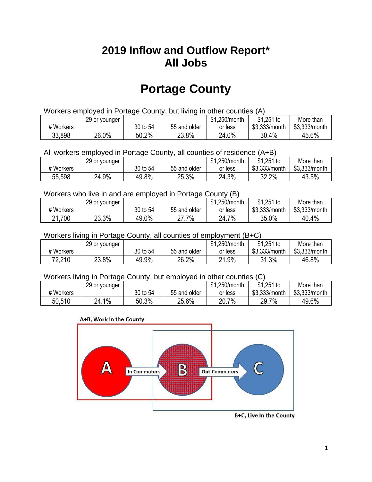## **2019 Inflow and Outflow Report\* All Jobs**

# **Portage County**

| Workers employed in Portage County, but living in other counties (A) |                                                           |          |              |         |               |               |  |  |  |
|----------------------------------------------------------------------|-----------------------------------------------------------|----------|--------------|---------|---------------|---------------|--|--|--|
|                                                                      | \$1.251 to<br>\$1.250/month<br>More than<br>29 or younger |          |              |         |               |               |  |  |  |
| # Workers                                                            |                                                           | 30 to 54 | 55 and older | or less | \$3.333/month | \$3.333/month |  |  |  |
| 33,898                                                               | 26.0%                                                     | 50.2%    | 23.8%        | 24.0%   | 30.4%         | 45.6%         |  |  |  |

All workers employed in Portage County, all counties of residence (A+B)

|           | 29 or younger |          |              | \$1,250/month | $$1,251$ to   | More than     |
|-----------|---------------|----------|--------------|---------------|---------------|---------------|
| # Workers |               | 30 to 54 | 55 and older | or less       | \$3,333/month | \$3,333/month |
| 55,598    | 24.9%         | 49.8%    | 25.3%        | 24.3%         | 32.2%         | 43.5%         |

#### Workers who live in and are employed in Portage County (B)

|           | 29 or younger |          |              | \$1,250/month | $$1,251$ to   | More than     |
|-----------|---------------|----------|--------------|---------------|---------------|---------------|
| # Workers |               | 30 to 54 | 55 and older | or less       | \$3,333/month | \$3,333/month |
| 21,700    | 23.3%         | 49.0%    | .7%<br>^7    | 7%<br>24.7    | 35.0%         | 40.4%         |

#### Workers living in Portage County, all counties of employment (B+C)

|           | 29 or younger |          |              | \$1,250/month | \$1,251 to    | More than     |
|-----------|---------------|----------|--------------|---------------|---------------|---------------|
| # Workers |               | 30 to 54 | 55 and older | or less       | \$3,333/month | \$3,333/month |
| 72,210    | 23.8%         | 49.9%    | 26.2%        | 21.9%         | 31.3%<br>9 1  | 46.8%         |

#### Workers living in Portage County, but employed in other counties (C)

|           | 29 or younger              |          |              | \$1,250/month | $$1,251$ to   | More than     |
|-----------|----------------------------|----------|--------------|---------------|---------------|---------------|
| # Workers |                            | 30 to 54 | 55 and older | or less       | \$3,333/month | \$3,333/month |
| 50,510    | $1\%$<br><sup>24</sup> . ເ | 50.3%    | 25.6%        | 20.7%         | 29.7%         | 49.6%         |

#### A+B, Work In the County